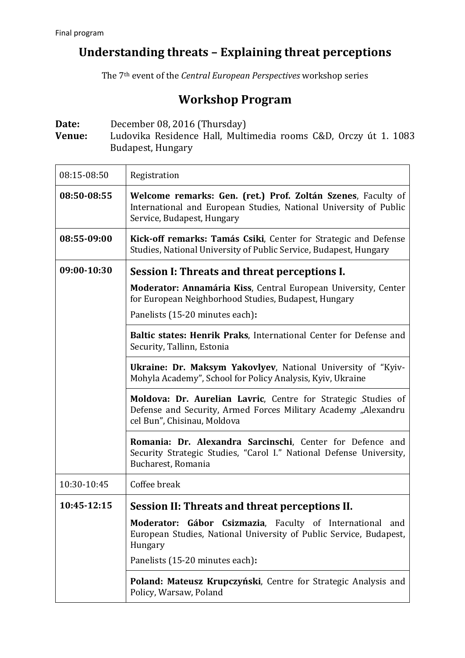## **Understanding threats – Explaining threat perceptions**

The 7th event of the *Central European Perspectives* workshop series

## **Workshop Program**

**Date:** December 08, 2016 (Thursday)<br> **Venue:** Ludovika Residence Hall, Multi **Venue:** Ludovika Residence Hall, Multimedia rooms C&D, Orczy út 1. 1083 Budapest, Hungary

| 08:15-08:50 | Registration                                                                                                                                                                 |
|-------------|------------------------------------------------------------------------------------------------------------------------------------------------------------------------------|
| 08:50-08:55 | Welcome remarks: Gen. (ret.) Prof. Zoltán Szenes, Faculty of<br>International and European Studies, National University of Public<br>Service, Budapest, Hungary              |
| 08:55-09:00 | Kick-off remarks: Tamás Csiki, Center for Strategic and Defense<br>Studies, National University of Public Service, Budapest, Hungary                                         |
| 09:00-10:30 | Session I: Threats and threat perceptions I.                                                                                                                                 |
|             | Moderator: Annamária Kiss, Central European University, Center<br>for European Neighborhood Studies, Budapest, Hungary<br>Panelists (15-20 minutes each):                    |
|             | Baltic states: Henrik Praks, International Center for Defense and<br>Security, Tallinn, Estonia                                                                              |
|             | Ukraine: Dr. Maksym Yakovlyev, National University of "Kyiv-<br>Mohyla Academy", School for Policy Analysis, Kyiv, Ukraine                                                   |
|             | Moldova: Dr. Aurelian Lavric, Centre for Strategic Studies of<br>Defense and Security, Armed Forces Military Academy "Alexandru<br>cel Bun", Chisinau, Moldova               |
|             | Romania: Dr. Alexandra Sarcinschi, Center for Defence and<br>Security Strategic Studies, "Carol I." National Defense University,<br>Bucharest, Romania                       |
| 10:30-10:45 | Coffee break                                                                                                                                                                 |
| 10:45-12:15 | Session II: Threats and threat perceptions II.                                                                                                                               |
|             | Moderator: Gábor Csizmazia, Faculty of International and<br>European Studies, National University of Public Service, Budapest,<br>Hungary<br>Panelists (15-20 minutes each): |
|             | Poland: Mateusz Krupczyński, Centre for Strategic Analysis and                                                                                                               |
|             | Policy, Warsaw, Poland                                                                                                                                                       |